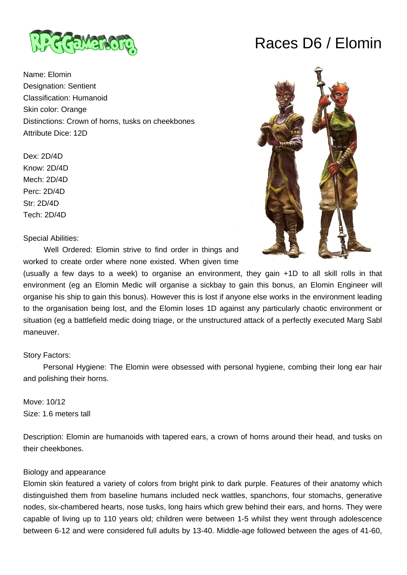

Name: Elomin Designation: Sentient Classification: Humanoid Skin color: Orange Distinctions: Crown of horns, tusks on cheekbones Attribute Dice: 12D

Dex: 2D/4D Know: 2D/4D Mech: 2D/4D Perc: 2D/4D Str: 2D/4D Tech: 2D/4D

Special Abilities:

 Well Ordered: Elomin strive to find order in things and worked to create order where none existed. When given time

(usually a few days to a week) to organise an environment, they gain +1D to all skill rolls in that environment (eg an Elomin Medic will organise a sickbay to gain this bonus, an Elomin Engineer will organise his ship to gain this bonus). However this is lost if anyone else works in the environment leading to the organisation being lost, and the Elomin loses 1D against any particularly chaotic environment or situation (eg a battlefield medic doing triage, or the unstructured attack of a perfectly executed Marg Sabl maneuver.

## Story Factors:

 Personal Hygiene: The Elomin were obsessed with personal hygiene, combing their long ear hair and polishing their horns.

Move: 10/12 Size: 1.6 meters tall

Description: Elomin are humanoids with tapered ears, a crown of horns around their head, and tusks on their cheekbones.

#### Biology and appearance

Elomin skin featured a variety of colors from bright pink to dark purple. Features of their anatomy which distinguished them from baseline humans included neck wattles, spanchons, four stomachs, generative nodes, six-chambered hearts, nose tusks, long hairs which grew behind their ears, and horns. They were capable of living up to 110 years old; children were between 1-5 whilst they went through adolescence between 6-12 and were considered full adults by 13-40. Middle-age followed between the ages of 41-60,

# Races D6 / Elomin